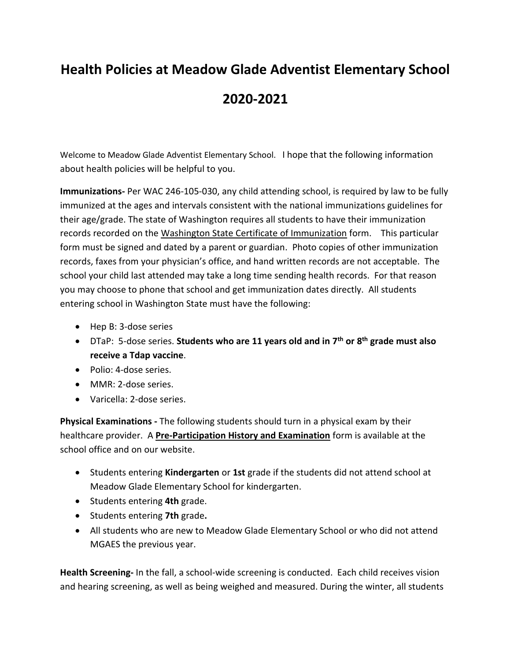## **Health Policies at Meadow Glade Adventist Elementary School 2020-2021**

Welcome to Meadow Glade Adventist Elementary School. I hope that the following information about health policies will be helpful to you.

**Immunizations-** Per WAC 246-105-030, any child attending school, is required by law to be fully immunized at the ages and intervals consistent with the national immunizations guidelines for their age/grade. The state of Washington requires all students to have their immunization records recorded on the Washington State Certificate of Immunization form. This particular form must be signed and dated by a parent or guardian. Photo copies of other immunization records, faxes from your physician's office, and hand written records are not acceptable. The school your child last attended may take a long time sending health records. For that reason you may choose to phone that school and get immunization dates directly. All students entering school in Washington State must have the following:

- Hep B: 3-dose series
- DTaP: 5-dose series. **Students who are 11 years old and in 7 th or 8 th grade must also receive a Tdap vaccine**.
- Polio: 4-dose series.
- MMR: 2-dose series.
- Varicella: 2-dose series.

**Physical Examinations -** The following students should turn in a physical exam by their healthcare provider. A **Pre-Participation History and Examination** form is available at the school office and on our website.

- Students entering **Kindergarten** or **1st** grade if the students did not attend school at Meadow Glade Elementary School for kindergarten.
- Students entering **4th** grade.
- Students entering **7th** grade**.**
- All students who are new to Meadow Glade Elementary School or who did not attend MGAES the previous year.

**Health Screening-** In the fall, a school-wide screening is conducted. Each child receives vision and hearing screening, as well as being weighed and measured. During the winter, all students